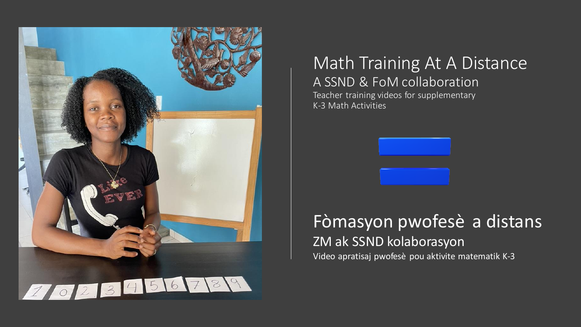

## Math Training At A Distance A SSND & FoM collaboration

Teacher training videos for supplementary K-3 Math Activities



Video apratisaj pwofesè pou aktivite matematik K-3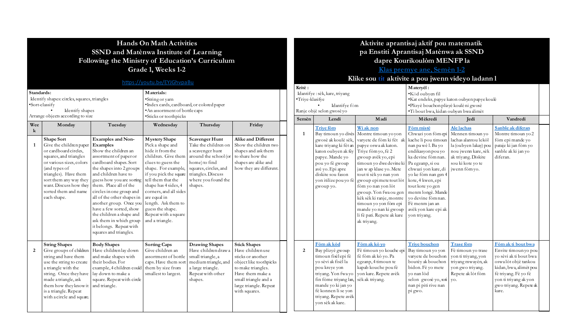#### **Hands On Math Activities SSND and Matènwa Institute of Learning Following the Ministry of Education's Curriculum Grade 1, Weeks 1-2**

#### [https://youtu.be/EYJGhvpaBu](https://youtu.be/EYJGhvpaBuk)

| Standards:<br>Identify shapes: circles, squares, triangles<br>·Sort-classify<br>Identify shapes<br>Arrange objects according to size |                |                                                                                                                                                                                                                                                                  |                                                                                                                                                                                                                                                                                                                                                                                                                                                         | Materials:<br>·String or yarn<br>·Index cards, cardboard, or colored paper<br>• An assortment of bottle caps                                                                                                                                                                                                                             |                                                                                                                                                                                       |                                                                                                                                                                                                     |  | Kritè:<br>Idantifye : sèk, kare, triyang<br>·Trive-klasifye<br>Ranje objè selon gwosè yo | Materyèl:<br>·Kòd oubyen fil<br>·Kat endeks, pap<br>·Plizyè bouchor<br>·Ti bout bwa, ki                                                                                                                                               |                                                                                                                                                                                                                                                                                                                                                                                  |                                                                                                                                                                                                                                                                                           |
|--------------------------------------------------------------------------------------------------------------------------------------|----------------|------------------------------------------------------------------------------------------------------------------------------------------------------------------------------------------------------------------------------------------------------------------|---------------------------------------------------------------------------------------------------------------------------------------------------------------------------------------------------------------------------------------------------------------------------------------------------------------------------------------------------------------------------------------------------------------------------------------------------------|------------------------------------------------------------------------------------------------------------------------------------------------------------------------------------------------------------------------------------------------------------------------------------------------------------------------------------------|---------------------------------------------------------------------------------------------------------------------------------------------------------------------------------------|-----------------------------------------------------------------------------------------------------------------------------------------------------------------------------------------------------|--|------------------------------------------------------------------------------------------|---------------------------------------------------------------------------------------------------------------------------------------------------------------------------------------------------------------------------------------|----------------------------------------------------------------------------------------------------------------------------------------------------------------------------------------------------------------------------------------------------------------------------------------------------------------------------------------------------------------------------------|-------------------------------------------------------------------------------------------------------------------------------------------------------------------------------------------------------------------------------------------------------------------------------------------|
|                                                                                                                                      | Wee<br>k       | Monday                                                                                                                                                                                                                                                           | Tuesday                                                                                                                                                                                                                                                                                                                                                                                                                                                 | ·Sticks or toothpicks<br>Wednesday                                                                                                                                                                                                                                                                                                       | Thursday                                                                                                                                                                              | Friday                                                                                                                                                                                              |  | Semèn                                                                                    | Lendi<br><b>Trive fòm</b>                                                                                                                                                                                                             | Madi<br>Wi ak non                                                                                                                                                                                                                                                                                                                                                                | Mèkredi<br>Fòm mistè                                                                                                                                                                                                                                                                      |
|                                                                                                                                      | -1             | <b>Shape Sort</b><br>Give the children paper<br>or cardboard circles,<br>squares, and triangles<br>or various sizes, colors<br>(and types of<br>triangles). Have them<br>sort them any way they<br>want. Discuss how they<br>sorted them and name<br>each shape. | <b>Examples and Non-</b><br>Examples<br>Show the children an<br>assortment of paper or<br>cardboard shapes. Sort<br>the shapes into 2 groups<br>and children have to<br>guess how you are sorting<br>them. Place all of the<br>circles in one group and<br>all of the other shapes in<br>another group. Once you<br>have a few sorted, show<br>the children a shape and<br>ask them in which group<br>it belongs. Repeat with<br>squares and triangles. | <b>Mystery Shape</b><br>Pick a shape and<br>hide it from the<br>children. Give them<br>clues to guess the<br>shape. For example,<br>if you pick the square<br>tell them that the<br>shape has 4 sides, 4<br>corners, and all sides<br>are equal in<br>length. Ask them to<br>guess the shape.<br>Repeat with a square<br>and a triangle. | Scavenger Hunt<br>Take the children on<br>a scavenger hunt<br>around the school (or<br>home) to find<br>squares, circles, and<br>triangles. Discuss<br>where you found the<br>shapes. | Alike and Different<br>Show the children two<br>shapes and ask them<br>to share how the<br>shapes are alike and<br>how they are different.                                                          |  | 1                                                                                        | Bay timoun yo divès Montre timoun yo yon<br>gwosè ak koulè sèk,<br>kare triyang ki fèt an<br>katon oubyen ak fey<br>papye. Mande yo<br>pou yo fè gwoup<br>avè yo. Epi apre<br>diskite sou fason<br>yon itilize pou yo fè<br>gwoup yo. | varyete de fòm ki fèt ak<br>papye oswa ak katon.<br>Triye fòm yo, fè 2<br>gwoup avèk yo, epi<br>timoun yo dwe devine ki<br>jan w ap klase yo. Mete<br>tout ti sèk yo nan yon<br>gwoup epimete tout lòt<br>fòm yo nan yon lòt<br>gwoup. Yon fwa ou gen<br>kèk sèk ki ranje, montre<br>timoun yo yon fòm epi<br>mande yo nan ki gwoup<br>li fè pati. Repete ak kare<br>ak triyang. | Chwazi yon fòn<br>kache li pou tim<br>nan pa wè l. Ba y<br>endikasyon pou<br>ka devine fòm n<br>Pa egzanp, si ou<br>chwazi yon kare<br>yo ke fòm nan g<br>kote, 4 kwen, ep<br>tout kote yo gen<br>menm longè. Ma<br>vo devine fòm n<br>Fè menm jan an<br>avèk yon kare ep<br>yon triyang. |
|                                                                                                                                      | $\overline{2}$ | <b>String Shapes</b><br>Give groups of children<br>string and have them<br>use the string to create<br>a triangle with the<br>string. Once they have<br>made a triangle, ask<br>them how they know it<br>is a triangle. Repeat<br>with a circle and square.      | <b>Body Shapes</b><br>Have children lay down<br>and make shapes with<br>their bodies. For<br>example, 4 children could<br>lay down to make a<br>square. Repeat with circle<br>and triangle.                                                                                                                                                                                                                                                             | <b>Sorting Caps</b><br>Give children an<br>assortment of bottle<br>caps. Have them sort<br>them by size from<br>smallest to largest.                                                                                                                                                                                                     | <b>Drawing Shapes</b><br>Have children draw a<br>small triangle, a<br>medium triangle, and<br>a large triangle.<br>Repeat with other<br>shapes.                                       | <b>Stick Shapes</b><br>Have childrenuse<br>sticks or another<br>object like toothpicks<br>to make triangles.<br>Have them make a<br>small triangle and a<br>large triangle. Repeat<br>with squares. |  | 2                                                                                        | Fòm ak kòd<br>Bay plizyè gwoup<br>timoun fisèlepi fè<br>yo sèvi ak fisèl la<br>pou kreye yon<br>triyang. Yon fwa yo<br>fin fòme trivang lan,<br>mande yo ki jan yo<br>fè konnen li se yon<br>triyang. Repete avèk<br>von sèk ak kare. | Fòm ak kò vo<br>Fè timoun yo kouche epi<br>fè fòm ak kò yo. Pa<br>egzanp, 4 timoun te<br>kapab kouche pou fè<br>von kare. Repete avèk<br>sèk ak triyang.                                                                                                                                                                                                                         | <b>Trive bouchon</b><br>Bay timoun yo y<br>varyete de boucl<br>boutey ak bouch<br>bidon. Fè yo me<br>vo nan lòd<br>selon gwosè yo<br>nan pi piti rive n<br>pi gwo.                                                                                                                        |

#### **Aktivite aprantisaj aktif pou matematik pa Enstiti Aprantisaj Matènwa ak SSND dapre Kourikoulòm MENFP la**

#### **[Klas premye ane, Semèn 1-2](https://www.youtube.com/playlist?list=PLzLBdX3COAtNrM7R0ruj0L5TbiOd0UnTF)**

**Klike sou tit aktivite a pou jwenn videyo ladann l**

| Kritè:         |                                                                                                                                                                                                                                      |                                                                                                                                                                                                                                                                                                                                                                                                                       | Materyèl:                                                                                                                                                                                                                                                                                                                                      |                                                                                                                                                                     |                                                                                                                                                                                                           |  |  |  |
|----------------|--------------------------------------------------------------------------------------------------------------------------------------------------------------------------------------------------------------------------------------|-----------------------------------------------------------------------------------------------------------------------------------------------------------------------------------------------------------------------------------------------------------------------------------------------------------------------------------------------------------------------------------------------------------------------|------------------------------------------------------------------------------------------------------------------------------------------------------------------------------------------------------------------------------------------------------------------------------------------------------------------------------------------------|---------------------------------------------------------------------------------------------------------------------------------------------------------------------|-----------------------------------------------------------------------------------------------------------------------------------------------------------------------------------------------------------|--|--|--|
| Triye-klasifye | Idantifye: sèk, kare, triyang<br>Idantifye fòm<br>Ranje objè selon gwosè yo                                                                                                                                                          |                                                                                                                                                                                                                                                                                                                                                                                                                       | <b>*Kod</b> oubven fil<br>*Kat endeks, papye katon oubyen papye koulè<br>·Plizyè bouchon plizyè koulèni gwosè<br>·Ti bout bwa, kidan oubyen bwa alimèt                                                                                                                                                                                         |                                                                                                                                                                     |                                                                                                                                                                                                           |  |  |  |
| Semèn          | Lendi                                                                                                                                                                                                                                | Madi                                                                                                                                                                                                                                                                                                                                                                                                                  | Mèkredi                                                                                                                                                                                                                                                                                                                                        | Jedi                                                                                                                                                                | Vandredi                                                                                                                                                                                                  |  |  |  |
| $\mathbf{1}$   | <b>Trive fom</b><br>Bay timoun yo divès<br>gwosè ak koulè sèk,<br>kare triyang ki fèt an<br>katon oubyen ak fey<br>papye. Mande yo<br>pou yo fè gwoup<br>avè vo. Epi apre<br>diskite sou fason<br>von itilize pou vo fè<br>gwoup yo. | Wi ak non<br>Montre timoun yo yon<br>varyete de fòm ki fèt ak<br>papye oswa ak katon.<br>Triye fòm yo, fè 2<br>gwoup avèk vo, epi<br>timoun yo dwe devine ki<br>jan w ap klase yo. Mete<br>tout ti sèk yo nan yon<br>gwoup epimete tout lòt<br>fòm yo nan yon lòt<br>gwoup. Yon fwa ou gen<br>kèk sèk ki ranje, montre<br>timoun yo yon fòm epi<br>mande yo nan ki gwoup<br>li fè pati. Repete ak kare<br>ak triyang. | <b>Fòm mistè</b><br>Chwazi yon fòm epi<br>kache li pou timoun<br>nan pa wè l. Ba yo<br>endikasyon pou yo<br>ka devine fòm nan.<br>Pa egzanp, si ou<br>chwazi yon kare, di<br>yo ke fòm nan gen 4<br>kote, 4 kwen, epi<br>tout kote yo gen<br>menm longè. Mande<br>vo devine fòm nan.<br>Fè menm jan an<br>avèk yon kare epi ak<br>yon triyang. | Ale lachas<br>Mennen timoun yo<br>lachas alantou lekòl<br>la (oubyen lakay) pou<br>nou jwenn kare, sèk<br>ak trivang. Diskite<br>sou ki kote yo te<br>jwenn fòm yo. | Sanble ak diferan<br>Montre timoun yo 2<br>fòm epi mande yo<br>pataje ki jan fòm yo<br>sanble ak ki jan yo<br>diferan.                                                                                    |  |  |  |
| $\overline{2}$ | Fòm ak kòd<br>Bay plizyè gwoup<br>timoun fisèlepi fè<br>vo sèvi ak fisèl la<br>pou kreye yon<br>triyang. Yon fwa yo<br>fin fòme triyang lan,<br>mande yo ki jan yo<br>fè konnen li se yon<br>triyang. Repete avèk<br>von sèk ak kare | Fòm ak kò yo<br>Fè timoun yo kouche epi<br>fè fòm ak kò yo. Pa<br>egzanp, 4 timoun te<br>kapab kouche pou fè<br>yon kare. Repete avèk<br>sèk ak triyang.                                                                                                                                                                                                                                                              | <b>Trive bouchon</b><br>Bay timoun yo yon<br>varyete de bouchon<br>boutèy ak bouchon<br>bidon. Fè yo mete<br>vo nan lòd<br>selon gwosè vo, soti<br>nan pi piti rive nan<br>pi gwo.                                                                                                                                                             | <b>Trase fom</b><br>Fè timoun yo trase<br>yon ti triyang, yon<br>triyang mwayèn, ak<br>yon gwo triyang.<br>Repete ak lòt fòm<br>yo.                                 | Fòm ak ti bout bwa<br>Envite timoun yo pou<br>vo sèvi ak ti bout bwa<br>oswalòt objè tankou<br>kidan, bwa, alimèt pou<br>fè triyang. Fè yo fè<br>yon ti triyang ak yon<br>gwo triyang. Repete ak<br>kare. |  |  |  |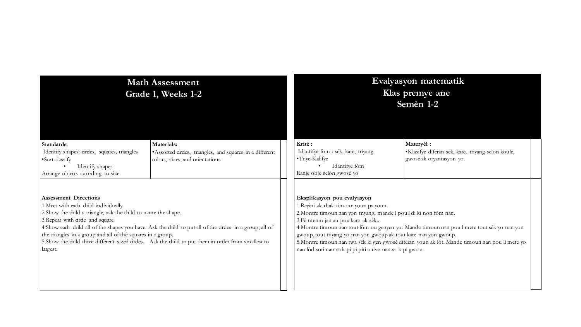|                                                                                                                                                                                                                                                        | <b>Math Assessment</b><br>Grade 1, Weeks 1-2                                                                                                                                                                      |                                                                                                                                                                                                                                                                                                                 | Evalyasyon matematik<br>Klas premye ane<br>Semèn 1-2                                                                                                                                          |  |
|--------------------------------------------------------------------------------------------------------------------------------------------------------------------------------------------------------------------------------------------------------|-------------------------------------------------------------------------------------------------------------------------------------------------------------------------------------------------------------------|-----------------------------------------------------------------------------------------------------------------------------------------------------------------------------------------------------------------------------------------------------------------------------------------------------------------|-----------------------------------------------------------------------------------------------------------------------------------------------------------------------------------------------|--|
| Standards:<br>Identify shapes: circles, squares, triangles<br>•Sort-dassify<br>Identify shapes<br>Arrange objects according to size                                                                                                                    | Materials:<br>• Assorted ardes, triangles, and squares in a different<br>colors, sizes, and orientations                                                                                                          | Kritè:<br>Idantifye fom : sèk, kare, triyang<br>•Triye-Kalifye<br>Idantifye fòm<br>Ranje objè selon gwosè yo                                                                                                                                                                                                    | Materyèl :<br>·Klasifye diferan sèk, kare, triyang selon koulè,<br>gwosè ak oryantasyon yo.                                                                                                   |  |
| <b>Assessment Directions</b><br>1. Meet with each child individually.<br>2. Show the child a triangle, ask the child to name the shape.<br>3. Repeat with cirde and square.<br>the triangles in a group and all of the squares in a group.<br>largest. | 4. Show each child all of the shapes you have. Ask the child to put all of the circles in a group, all of<br>5. Show the child three different sized circles. Ask the child to put them in order from smallest to | Eksplikasyon pou evalyasyon<br>1.Reyini ak chak timoun youn pa youn.<br>2. Montre timoun nan yon triyang, mandel poul di ki non fòm nan.<br>3. Fè menm jan an pou kare ak sèk<br>gwoup, tout triyang yo nan yon gwoup ak tout kare nan yon gwoup.<br>nan lòd soti nan sa k pi pi piti a rive nan sa k pi gwo a. | 4. Montre timoun nan tout fòm ou genyen yo. Mande timoun nan pou l mete tout sèk yo nan yon<br>5. Montre timoun nan twa sèk ki gen gwosè diferan youn ak lòt. Mande timoun nan pou li mete yo |  |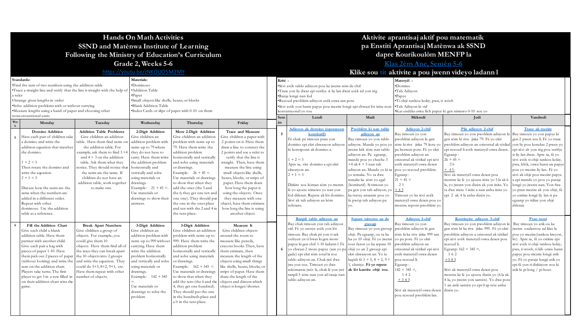#### **Hands On Math Activities SSND and Matènwa Institute of Learning Following the Ministry of Education's Curriculum Grade 2, Weeks 5-6**

<https://youtu.be/zNKOUO5M2MY>

#### **dapre Kourikoulòm MENFP la [Klas 2èm Ane, Semèn 5-6](https://www.youtube.com/playlist?list=PLzLBdX3COAtOLmkM67f3AcZ49Pda7u45p)**

**Aktivite aprantisaj aktif pou matematik pa Enstiti Aprantisaj Matènwa ak SSND**

### **Klike sou tit aktivite a pou jwenn videyo ladann l**

|         | Standards:                                                                   |                                 | Materials:                                   |                                                     |                                |  |     |                                                                                                 |                                                   | Materyèl :                                            |                                                                       |                                                                    |  |
|---------|------------------------------------------------------------------------------|---------------------------------|----------------------------------------------|-----------------------------------------------------|--------------------------------|--|-----|-------------------------------------------------------------------------------------------------|---------------------------------------------------|-------------------------------------------------------|-----------------------------------------------------------------------|--------------------------------------------------------------------|--|
|         | • Find the sum of two numbers using the addition table                       |                                 | *Dominoes                                    |                                                     |                                |  |     | Sèvi avèk tablo adisyon pou ka jwenn sòm de chif                                                |                                                   | •Domino                                               |                                                                       |                                                                    |  |
|         | •Trace a straight line and verify that the line is straight with the help of |                                 | ·Addition Table                              |                                                     |                                |  |     | 'Trase yon liy dwat epi verifye si liy lan dwat avèk èd yon règ                                 |                                                   | ·Tab Adisyon                                          |                                                                       |                                                                    |  |
| a ruler |                                                                              |                                 | •Paper                                       |                                                     |                                |  |     | *Ranje longè nan lòd                                                                            |                                                   | Papye                                                 |                                                                       |                                                                    |  |
|         | *Arrange given lengths in order                                              |                                 | ·Small objects like shells, beans, or blocks |                                                     |                                |  |     | Rezoud pwoblèm adisyon avèk oswa san pote                                                       |                                                   | ·Ti objè tankou kokiy, pwa, ti wòch                   |                                                                       |                                                                    |  |
|         | .Solve addition problems with or without carrying                            |                                 | ·Blank Addition Table                        |                                                     |                                |  |     | "Sèvi avèk yon bann papye pou mezire longè epi chwazi lòt inite non- Tab Adisyon ki vid         |                                                   |                                                       |                                                                       |                                                                    |  |
|         | •Measure lengths using a band of paper and choosing other                    |                                 |                                              | .Index Cards or slips of paper with 0-10 on them    |                                |  |     | konvansvonèl vo tou                                                                             |                                                   | *Kat endèks oswa fich papye ki gen nimewo 0-10 sou yo |                                                                       |                                                                    |  |
|         | nonconventional units                                                        |                                 |                                              |                                                     |                                |  | Sem | Lendi                                                                                           | Madi                                              | Vandredi<br>Mèkredi<br>Jedi                           |                                                                       |                                                                    |  |
| Wee     | Monday                                                                       | Tuesday                         | Wednesday                                    | Thursday                                            | Friday                         |  | èn  |                                                                                                 |                                                   |                                                       |                                                                       |                                                                    |  |
|         | Domino Addition                                                              | <b>Addition Table Problems</b>  | 2-Digit Addition                             | More 2-Digit Addition                               | Trace and Measure              |  |     | Adisyon ak domino (operasyon                                                                    | Pwoblèm ki nan tablo                              | Adisyon 2-chif                                        | Plis adisyon 2-chif                                                   | Trase ak mezire                                                    |  |
|         | Have each pair of children take                                              | Give children an addition       | Give children an                             | Give children an addition                           | Give children a paper with     |  | - 5 | komitatif)                                                                                      | adisyon an                                        | Bay timoun yo yon                                     | Bay timoun yo yon pwoblèm adisyon ki Bay timoun yo yon papye ki       |                                                                    |  |
|         | a domino and write the                                                       | table. Have them find sums on   | addition problem with                        | problem with sums up to                             | 2 points on it. Have them      |  |     | Fè chak pè timoun pran yon                                                                      | Bay timoun yo yon tablo                           | pwoblèm adisyon ki gen                                | gen sòm ki rive jiska 79. Fè vo ekri                                  | gen 2 pwen sou li. Fè vo trase                                     |  |
|         | addition equation that matches                                               | the addition table. For         | sums up to 79 where                          | 79. Have them write the                             | draw a line to connect the     |  |     | domino epi ekri ekwasyon adisyon adisyon. Mande yo pou yo sòm ki rive jiska 79 kote yo          |                                                   |                                                       | pwoblèm adisyon an orizontal ak vètikal von liv pou konekte 2 pwen vo |                                                                    |  |
|         | the domino.                                                                  | example, ask them to find 3 +4  | they do not have to                          | addition problem                                    | 2 points and use a ruler to    |  |     | ki koresponn ak domino a.                                                                       | jwenn kèk sòm nan tablo<br>adisyon an. Pa egzanp, | pa bezwen pote. Fè vo ekri<br>pwoblèm adisyon an      | epi rezoud li avèk materyèl oswa desen.                               | epi sèvi ak yon règ pou verifye                                    |  |
|         |                                                                              | and $4 + 3$ on the addition     | carry. Have them write                       | horizontally and vertically                         | verify that the line is        |  |     | $1 + 2 = 3$                                                                                     | mande pou yo chache 3                             | orizontal ak vètikal epi sèvi                         | Egzanp:<br>$26 + 45 =$                                                | si liy lan dwat. Apre sa, fè yo<br>sèvi avèk ti objè tankou kokiy, |  |
|         | $1 + 2 = 3$                                                                  | table. Ask them what they       | the addition problem                         | and solve using materials                           | straight. Then, have them      |  |     | Apre sa, vire domino a epi ekri                                                                 | $+4$ ak $4 + 3$ nan tab                           | avèk materyèl oswa desen                              | 26                                                                    | pwa, blòk, oswa bann an papye                                      |  |
|         | Then rotate the domino and                                                   | notice. They should notice that | horizontally and                             | or drawings.                                        | measure the line using         |  |     | ekwasyon an.                                                                                    | adisyon an. Mande yo ki sa pou yo rezoud pwoblèm. |                                                       | $+ 45$                                                                | pou yo mezire liy lan. Fè yo                                       |  |
|         | write the equation.                                                          | the sums are the same. If       | vertically and solve                         | Example: $26 + 45 =$ .                              | small objects like shells.     |  |     | $2 + 1 = 3$                                                                                     | vo remake. Yo ta dwe                              | Egzanp :                                              | Sèvi ak materyèl oswa desen pou                                       | sèvi ak objè pou mezire papye                                      |  |
|         | $2 + 1 = 3$                                                                  | children do not have an         | using materials or                           | Use materials or drawings                           | beans, blocks, or strips of    |  |     |                                                                                                 | remake ke sòm vo egal                             | $21 + 45 =$                                           | montre ke lè yo ajoute inite yo 5 la ak 6                             | a epi mande yo pou yo pataje                                       |  |
|         |                                                                              | addition table, work together   | drawings.                                    | to show that when they                              | paper. Have them share         |  |     | Diskite sou kòman sòm vo menn                                                                   | (komitatif). Si timoun yo                         | 21                                                    | la, vo jwenn von dizèn ak von inite. Yo                               | longè vo jwenn nan. Yon fwa                                        |  |
|         | Discuss how the sums are the                                                 | to make one.                    | Example: $21 + 45 =$ .                       | add the ones (the 5 and                             | how long the paper is          |  |     | lè vo ajoute nimewo vo nan von                                                                  | pa gen yon tab adisyon, yo $\left  +4.5 \right $  |                                                       | ta dwe mete 1 inite a nan anba inite vo                               | vo pran mezire ak von objè, fè                                     |  |
|         | same when the numbers are                                                    |                                 | Use materials or                             | the 6, they get one ten and                         | using the objects. Once        |  |     | lòd diferan. Repete ak lòt domine                                                               | ka travay ansanm pou yo                           | Timoun vo ka sèvi avèk                                | epi 2 ak 4 la anba dizèn yo.                                          | vo estime longè liv lan si pa                                      |  |
|         | added in a different order.                                                  |                                 | drawings to show their                       | one one). They should put                           | they measure with one          |  |     | Sèvi ak tab adisyon an kòm                                                                      | fe pwòp tab adisyon pa                            | materyèl oswa desen pou vo                            |                                                                       | egzanp yo itilize yon objè                                         |  |
|         | Repeat with other                                                            |                                 | answers.                                     | the one in the ones place                           | object, have them estimate     |  |     | referans.                                                                                       |                                                   | montre repons pwoblèm yo.                             |                                                                       | diferan.                                                           |  |
|         | dominoes. Use the addition                                                   |                                 |                                              | and ten with the 2 and 4 in                         | how long the line is using     |  |     |                                                                                                 |                                                   |                                                       |                                                                       |                                                                    |  |
|         | table as a reference.                                                        |                                 |                                              | the tens place.                                     | another object.                |  |     |                                                                                                 |                                                   |                                                       |                                                                       |                                                                    |  |
|         |                                                                              |                                 |                                              |                                                     |                                |  |     | Ranpli tablo adisyon an                                                                         | Separe nimewo an de                               | Adisvon 3-chif                                        | Kontinvite adisyon 3-chif                                             | Pran mezi                                                          |  |
|         | Fill the Addition Chart                                                      | <b>Break Apart Numbers</b>      | 3-Digit Addition                             | 3-Digit Addition                                    | Measure It                     |  |     | Bay chak timoun yon tab adisyon                                                                 | gwoup                                             | Bay timoun yo yon                                     | Bay timoun yo yon pwoblèm adisyon ki                                  | Bay timoun yo atik ou ka                                           |  |
|         | Give each child a blank                                                      | Give children a group of        | Give children an                             | Give children an addition                           | Give children objects          |  |     | vid. Fè vo asosve avèk von lòt                                                                  | Bay timoun yo yon gwoup pwoblèm adisyon ki gen    |                                                       | gen sòm ki ka rive jiska 999. Fè vo ekri                              | jwenn ozalantou sal klas la                                        |  |
|         | addition table. Have them                                                    | objects. For example, you       | addition problem with                        | problem with sums up to                             | round the room to              |  |     | timoun. Bay chak pè von ti sak                                                                  | objè. Pa egzanp, ou ta ka                         | sòm ki ka rive jiska 999 san                          | pwoblèm adisyon a orizontal ak vètikal                                | pou vo mezire(tankou krevon,                                       |  |
|         | partner with another child.                                                  | could give them 10              | sums up to 999 without                       | 999. Have them write the                            | measure like pencils,          |  |     | oubyen yn ti bwat ki gen moso                                                                   | ba vo 10 objè. Fè vo jwenn vo pa pote. Fè vo ekri |                                                       | epi sèvi avèk materyèl oswa desen pou                                 | liv). Apre sa, fè yo estime epi                                    |  |
|         | Give each pair a bag with                                                    | objects. Have them find all of  | carrying. Have them                          | addition problem                                    | crayons books. Then, have      |  | -6  | papye ki gen chif 1-10 ladann l. Fè<br>vo chwazi 2 moso papye (san yo pa objè yo an 2 gwoup epi | tout fason yo ka separe 10                        | pwoblèm adisyon an<br>orizontal ak vètikal epi sèvi   | rezoud li.                                                            | sèvi avèk ti objè tankou kokiy,<br>pwa, ti wòch, ti kib oswa bann  |  |
|         | pieces of paper 1-10. Have                                                   | the ways they can break apart   | write the addition                           | horizontally and vertically                         | them estimate, then            |  |     | gade) epi ekri sòm total la sou                                                                 | ekri ekwasyon an. Yo te                           | avèk materyèl oswa desen                              | Egzanp: $162 + 345 =$ ,<br>162                                        | papye pou mezire longè atik                                        |  |
|         | them pick out 2 pieces of paper                                              | the 10 objects into 2 groups    | problem horizontally                         | and solve using materials                           | measure the length of the      |  |     | tablo adisyon an. Chak jwè dwe                                                                  | kapab fè $5 + 5$ , $8 + 2$ , $9 +$                | pou rezoud li.                                        | $+345$                                                                | vo. Fè vo pataje longè atik vo                                     |  |
|         | (without looking) and write the                                              | and write the equation. They    | and vertically and solve                     | or drawings.                                        | objects using small things     |  |     | iwe von tou. Timoun yo dwe                                                                      | 1, elatriye. Fè yo repete                         |                                                       |                                                                       | epi fè yon ti diskisyon sou ki                                     |  |
|         | sum on the addition chart.                                                   | could do 5+5, 8+2, 9+1, etc.    | using materials or                           | Example: $162 + 345 =$ .                            | like shells, beans, blocks, or |  |     | rekòmanse jwèt la, chak lè yon jwè ak lòt kantite objè tou.                                     |                                                   | Egzanp :<br>$142 + 345 =$ ,                           | Sèvi ak materyèl oswa desen pou                                       | atik ki pilong / pi kout.                                          |  |
|         | Players take turns. The first                                                | Have them repeat with other     | drawings.                                    | Use materials or drawings                           | strips of paper. Have them     |  |     | ranpli 5 sòm nan von sèl ranje nan                                                              |                                                   | 142                                                   | montre ke lè vo ajoute dizèn vo (6 la ak                              |                                                                    |  |
|         | player to get 5 in a row filled in                                           | number of objects.              | Example: $142 + 345$                         | to show that when they                              | share the length of the        |  |     | tablo adisyon an.                                                                               |                                                   | $+345$                                                | 4 la, yo jwenn yon santèn). Yo dwe pote                               |                                                                    |  |
|         | on their addition chart wins the                                             |                                 |                                              | add the tens (the 6 and the                         | objects and discuss which      |  |     |                                                                                                 |                                                   |                                                       | 1 an anlè santèn yo epi 0 ap rete anba                                |                                                                    |  |
|         | game.                                                                        |                                 | Use materials or                             | 4, they get one hundred).                           | object is longer/shorter.      |  |     |                                                                                                 |                                                   | Sèvi ak materyèl oswa desen                           | dizèn vo.                                                             |                                                                    |  |
|         |                                                                              |                                 | drawings to solve the                        | They should put the one                             |                                |  |     |                                                                                                 |                                                   |                                                       |                                                                       |                                                                    |  |
|         |                                                                              |                                 |                                              |                                                     |                                |  |     |                                                                                                 |                                                   |                                                       |                                                                       |                                                                    |  |
|         |                                                                              |                                 |                                              |                                                     |                                |  |     |                                                                                                 |                                                   |                                                       |                                                                       |                                                                    |  |
|         |                                                                              |                                 |                                              |                                                     |                                |  |     |                                                                                                 |                                                   |                                                       |                                                                       |                                                                    |  |
|         |                                                                              |                                 | problem                                      | in the hundreds place and<br>a 0 in the tens place. |                                |  |     |                                                                                                 |                                                   | pou rezoud pwoblèm lan.                               |                                                                       |                                                                    |  |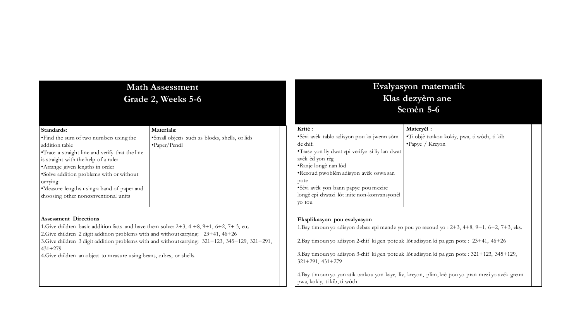|                                                                                                                                                                                                                                                    | <b>Math Assessment</b><br>Grade 2, Weeks 5-6                                                     | Evalyasyon matematik<br>Klas dezyèm ane<br>Semèn 5-6                                                                                                                                                           |                                                                                                                                                                                                  |  |  |  |
|----------------------------------------------------------------------------------------------------------------------------------------------------------------------------------------------------------------------------------------------------|--------------------------------------------------------------------------------------------------|----------------------------------------------------------------------------------------------------------------------------------------------------------------------------------------------------------------|--------------------------------------------------------------------------------------------------------------------------------------------------------------------------------------------------|--|--|--|
| Standards:<br>• Find the sum of two numbers using the<br>addition table<br>•Trace a straight line and verify that the line<br>is straight with the help of a ruler<br>• Arrange given lengths in order<br>•Solve addition problems with or without | Materials:<br>·Small objects such as blocks, shells, or lids<br>$\cdot$ Paper/Pencil             | Kritè:<br>·Sèvi avèk tablo adisyon pou ka jwenn sòm<br>de chif.<br>•Trase yon liy dwat epi verifye si liy lan dwat<br>avèk èd yon règ<br>·Ranje longè nan lòd<br>·Rezoud pwoblèm adisyon avèk oswa san<br>pote | Materyèl :<br>·Ti objè tankou kokiy, pwa, ti wòch, ti kib<br>• Papye / Kreyon                                                                                                                    |  |  |  |
| carrying<br>•Measure lengths using a band of paper and<br>choosing other nonconventional units<br><b>Assessment Directions</b><br>1. Give children basic addition facts and have them solve: $2+3$ , $4+8$ , $9+1$ , $6+2$ , $7+3$ , etc.          |                                                                                                  | ·Sèvi avèk yon bann papye pou mezire<br>longè epi diwazi lòt inite non-konvansyonèl<br>vo tou<br>Eksplikasyon pou evalyasyon                                                                                   | 1. Bay timoun yo adisyon debaz epi mande yo pou yo rezoud yo : 2+3, 4+8, 9+1, 6+2, 7+3, eks.                                                                                                     |  |  |  |
| 2. Give children 2 digit addition problems with and without carrying: 23+41, 46+26<br>$431 + 279$<br>4. Give children an object to measure using beans, cubes, or shells.                                                                          | 3. Give children 3 digit addition problems with and without carrying: 321+123, 345+129, 321+291, | 2. Bay timoun yo adisyon 2-chif ki gen pote ak lòt adisyon ki pa gen pote: 23+41, 46+26<br>$321+291, 431+279$<br>pwa, kokiy, ti kib, ti wòch                                                                   | 3. Bay timoun yo adisyon 3-chif ki gen pote ak lòt adisyon ki pa gen pote : 321+123, 345+129,<br>4.Bay timoun yo yon atik tankou yon kaye, liv, kreyon, plim, krè pou yo pran mezi yo avèk grenn |  |  |  |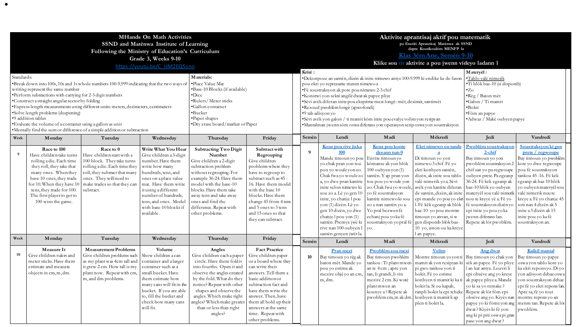| Standards: | writing represent the same number<br>•Perform subtractions with carrying for 2-3 digit numbers<br>•Construct a straight angular sector by folding<br>·Solve length problems (deepening)                                                                            | •Break down into 100s, 10s and 1s whole numbers 100-9,999 indicating that the two ways of<br>• Express length measurements using different units: meters, decimeters, centimeters                               | <b>MHands On Math Activities</b><br>SSND and Matènwa Institute of Learning<br>Following the Ministry of Education's Curriculum<br>Grade 3, Weeks 9-10<br>https://youtu.be/C UM2EQ5sno                                                                                         | Materials:<br>·Place Value Mat<br>Base-10 Blocks (if available)<br>•Dice<br>•Rulers/Meter sticks<br>Gallon container<br>·Bucket                                                                                                                                                                                  | Kritè:                                                                                                                                                                                                                                                                                             | pou ekri yo reprezante menm nimewo a<br>·Fè soustraksyon ak pote pou nimewo 2-3 chif<br>*Konstwi yon sektè angilè dwat ak papye pliye<br>·Sèvi avèk diferan inite pou eksprime mezi longè : mèt, desimèt, santimèt<br>·Rezoud pwoblèm longè (apwofondi)<br>•9 tab adisyon yo |                                                                                                                                                                                                                                                                                                                                                                                         | Aktivite aprantisaj aktif pou matematik<br>pa Enstiti Aprantisaj Matènwa ak SSND<br>dapre Kourikoulòm MENFP la<br>Klas 3èm Ane, Semèn 9-10<br>Klike sou tit aktivite a pou jwenn videyo ladann l<br>*Dekonpoze an santèn, dizèn ak inite nimewo antye 100-9.999 ki endike ke de fason                                               | Materyèl:<br>·Tablo valè nimenk<br>·Ti blòk baz-10 (si disponib)<br>$\cdot$ Zo<br>·Règ / Baton mèt<br>·Galon / Ti mamit<br>$-Bokit$<br>•Fòm an papye                                                                                                                                                                                                                                     |                                                                                                                                                                                                                                                                                                                                                             |                                                                                                                                                                                                                                                                                                                                           |
|------------|--------------------------------------------------------------------------------------------------------------------------------------------------------------------------------------------------------------------------------------------------------------------|-----------------------------------------------------------------------------------------------------------------------------------------------------------------------------------------------------------------|-------------------------------------------------------------------------------------------------------------------------------------------------------------------------------------------------------------------------------------------------------------------------------|------------------------------------------------------------------------------------------------------------------------------------------------------------------------------------------------------------------------------------------------------------------------------------------------------------------|----------------------------------------------------------------------------------------------------------------------------------------------------------------------------------------------------------------------------------------------------------------------------------------------------|------------------------------------------------------------------------------------------------------------------------------------------------------------------------------------------------------------------------------------------------------------------------------|-----------------------------------------------------------------------------------------------------------------------------------------------------------------------------------------------------------------------------------------------------------------------------------------------------------------------------------------------------------------------------------------|-------------------------------------------------------------------------------------------------------------------------------------------------------------------------------------------------------------------------------------------------------------------------------------------------------------------------------------|------------------------------------------------------------------------------------------------------------------------------------------------------------------------------------------------------------------------------------------------------------------------------------------------------------------------------------------------------------------------------------------|-------------------------------------------------------------------------------------------------------------------------------------------------------------------------------------------------------------------------------------------------------------------------------------------------------------------------------------------------------------|-------------------------------------------------------------------------------------------------------------------------------------------------------------------------------------------------------------------------------------------------------------------------------------------------------------------------------------------|
|            | •9 addition tables<br>• Evaluate the volume of a container using a gallon as unit                                                                                                                                                                                  | •Mentally find the sum or difference of a simple addition or subtraction                                                                                                                                        |                                                                                                                                                                                                                                                                               | •Paper shapes<br>•Dry erase board/marker or Paper                                                                                                                                                                                                                                                                |                                                                                                                                                                                                                                                                                                    |                                                                                                                                                                                                                                                                              | ·Sèvi avèk yon galon / ti mamit kòm inite pou evalye volim yon resipyan<br>•Mantalman jwenn sòm oswa diferans yon operasyon senp oswa yon soustraksyon                                                                                                                                                                                                                                  |                                                                                                                                                                                                                                                                                                                                     |                                                                                                                                                                                                                                                                                                                                                                                          | •Adwaz / Makè oubyen papye                                                                                                                                                                                                                                                                                                                                  |                                                                                                                                                                                                                                                                                                                                           |
| Week       | Monday                                                                                                                                                                                                                                                             | Tuesday                                                                                                                                                                                                         | Wednesday                                                                                                                                                                                                                                                                     | Thursday                                                                                                                                                                                                                                                                                                         | Friday                                                                                                                                                                                                                                                                                             | Semèn                                                                                                                                                                                                                                                                        | Lendi                                                                                                                                                                                                                                                                                                                                                                                   | Madi                                                                                                                                                                                                                                                                                                                                | Mèkredi                                                                                                                                                                                                                                                                                                                                                                                  | Jedi                                                                                                                                                                                                                                                                                                                                                        | Vandredi                                                                                                                                                                                                                                                                                                                                  |
| - 9        | Race to 100<br>Have children take turns<br>rolling a die. Each time<br>they roll, they take that<br>many ones. When they<br>have 10 ones, they trade<br>for 10. When they have 10<br>tens, they trade for 100.<br>The first player to get to<br>100 wins the game. | Race to 0<br>Have children start with a<br>100 block. They take turns<br>rolling a die. Each time they<br>roll, they subtract that many<br>ones. They will need to<br>make trades so that they can<br>subtract. | Write What You Hear<br>Give children a 3-digit<br>number. Have them<br>write how many<br>hundreds, tens, and<br>ones on a place value<br>mat. Have them write<br>it using a different<br>number of hundreds,<br>tens, and ones. Model<br>with base-10 blocks if<br>available. | <b>Subtracting Two Digit</b><br>Number<br>Give children a 2-digit<br>subtraction problem<br>without regrouping. For<br>example 36-24. Have them<br>model with the base-10<br>blocks. Have them take<br>away tens and take away<br>ones and find the<br>difference. Repeat with<br>other problems.                | Subtract with<br>Regrouping<br>Give children<br>problems where they<br>have to regroup to<br>subtract such as 45 -<br>16. Have them model<br>with the base 10<br>blocks. Have them<br>change 45 from 4 tens<br>and 5 ones to 3 tens<br>and 15 ones so that<br>they can subtract.                   | 9                                                                                                                                                                                                                                                                            | Kous pou rive jiska<br>100<br>Mande timounyo pou<br>yo chak pran yon tou<br>pou yo woule yon zo.<br>Chak fwa yo woule zo<br>a, yo dwe pran kantite<br>inite selon nimewo ki<br>sou zo a. Lè yo gen 10<br>inite, yo chanje l pou<br>yon (1) dizèn. Lè yo<br>gen 10 dizèn, yo dwe<br>chanje $1$ pou yon $(1)$<br>santên. Premye jwê ki<br>rive nan 100 oubyen 1<br>santèn genyen jwèt la. | Kous pou konte<br>desann nan 0<br>Envite timoun yo<br>kòmanse ak yon blòk<br>$100$ oubyen yon $(1)$<br>santèn. Yap pran yon<br>tou pou vo woule von<br>zo. Chak fwa vo woule,<br>yo fè soustraksyon<br>kantite nimewo ki sou<br>zo a nan santèn yo a.<br>Yo pral bezwen fè<br>echani pou vo ka fè<br>soustraksyon yo pral fè<br>VO. | Ekri nimewo ou tande<br>a<br>Di timoun yo yon<br>nimewo 3 chif. Fè yo<br>ekri konbyen santèn,<br>dizèn, ak inite sou tablo<br>valè nimerik yo a. Sèvi<br>avèk yon kantite diferan<br>epi mande yo pou yo ekri nou te kreye yè a. Fè yo<br>1. Fè kèk egzanp ak blòk<br>baz-10 yo pou montre<br>timoun yo anvan, si w<br>gen disponib blòk baz-<br>10 yo, sinon ou ka kreye<br>l an papye. | Pwoblèm soustraksyor<br>$2$ -chif<br>Bay timoun yo yon<br>pwoblèm soustraksyon 2<br>chif san yo pa regwoupe<br>oubyen prete. Pa egzanp<br>36-24. Fè kèk egzanp ak<br>baz-10 blòk yo oubyen<br>de santèn, dizèn, ak inite   materyèl sou valè nimerik<br>fè soustraksyon dizèn yo<br>epi inite yo pou yo ka<br>jwenn diferans lan.<br>Repete ak lòt pwoblèm. | Soustraksyon ki gen<br>prete / regwoupe<br>Bay timoun yo pwoblèm<br>kote yo dwe regwoupe<br>pou fè soustraksyon<br>tankou 45-16. Fè kèk<br>egzanp ak baz 10 blòk<br>vo oubven matervèl sou<br>valè nimerik nou te<br>kreye a. Fè yo chanje 45<br>soti nan 4 dizèn ak 5<br>inite a 3 dizèn ak 15<br>inite pou yo ka fè<br>soustraksyon an. |
| Week       | Monday                                                                                                                                                                                                                                                             | Tuesday                                                                                                                                                                                                         | Wednesday                                                                                                                                                                                                                                                                     | Thursday                                                                                                                                                                                                                                                                                                         | Friday                                                                                                                                                                                                                                                                                             | Semèn                                                                                                                                                                                                                                                                        | Lendi                                                                                                                                                                                                                                                                                                                                                                                   | Madi                                                                                                                                                                                                                                                                                                                                | Mèkredi                                                                                                                                                                                                                                                                                                                                                                                  | Jedi                                                                                                                                                                                                                                                                                                                                                        | Vandredi                                                                                                                                                                                                                                                                                                                                  |
| 10         | Measure It<br>Give children rulers and<br>meter sticks. Have them<br>estimate and measure<br>objects in cm, m, dm.                                                                                                                                                 | <b>Measurement Problems</b><br>Give children problems such<br>as my plant was 4cm tall and<br>it grew 2 cm. How tall is my<br>plant now. Repeat with cm,<br>m, and dm problems.                                 | Volume<br>Show children a can<br>container and a larger<br>container such as a<br>small bucket. Have<br>them estimate how<br>many cans will fit in the<br>bucket. If you are able<br>to, fill the bucket and<br>check how many cans<br>will fit.                              | Angles<br>Give children each a paper<br>circle. Have them fold it<br>into fourths. Open it and<br>observe the angles created<br>by the fold. What do they<br>notice? Repeat with other<br>shapes and observe the<br>angles. Which make right<br>angles? Which make greater<br>than or less than right<br>angles? | <b>Fact Practice</b><br>Give children paper<br>or a board where they<br>can write their<br>answers. Tell them a<br>basic addition or<br>subtraction fact and<br>have them write the<br>answer. Then, have<br>them all hold up their<br>answers at the same<br>time. Repeat with<br>other problems. | 10                                                                                                                                                                                                                                                                           | Pran mezi<br>Bay timoun yo règ ak<br>baton mèt. Mande yo<br>pou yo estime ak<br>mezire objè yo an cm,<br>m, dm.                                                                                                                                                                                                                                                                         | Pwoblèm sou mezi<br>Bay timoun pwoblèm<br>tankou: Ti plant mwen<br>an te 4 cm; apre yon<br>tan, li grandi, li vin<br>mezire 2 cm. Ki wotè<br>plant mwen an<br>kounye a? Repete ak<br>pwoblèm cm, m ak dm.                                                                                                                           | <b>Volim</b><br>mamit ak yon resipyan ki<br>pi gwo tankou yon ti<br>bokit. Fè yo estime<br>konbyen ti mamit ki ka ti ak papye pliye a. Mande<br>bokitla. Si ou kapab,<br>ranpli bokit la epi tcheke Repete ak lòt fòm epi<br>konbyen ti mamit k ap<br>plen ti bokitla.                                                                                                                   | Ang dwat<br>Montre timoun yo yon ti Bay timoun yo chak yon<br>sèk an papye. Fè yo pliye<br>l an kat antye. Louvri li<br>epi obsève ang yo kreye<br>vo ki sa vo remake?<br>obsève ang yo. Kiyès nan<br>papye yo ki fòme yon ang<br>dwat? Kiyès ki fè yon<br>ang ki pi piti oswa pi gran<br>pase yon ang dwat?                                                | Kalkil mantal<br>Bay timoun yo papye<br>oswayon tablo kote yo<br>ka ekri reponsyo. Di yo<br>yon adisyon debazoswa<br>yon soustraksyon debaz<br>epi fè yo ekri repons lan.<br>Apre sa, fè yo tout<br>montre repons yo an<br>menm tan. Repete ak lòt<br>pwoblèm.                                                                            |

[•](https://www.youtube.com/playlist?list=PLzLBdX3COAtM8vAUvpRAYBJXyINlvYQKq)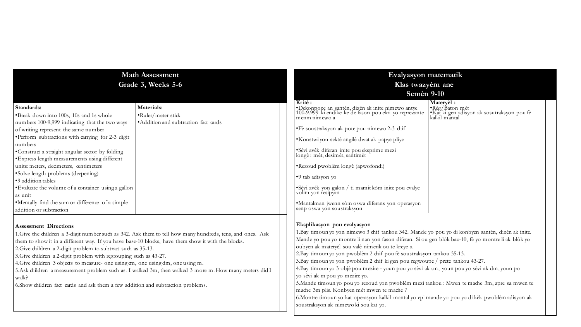| <b>Math Assessment</b><br>Grade 3, Weeks 5-6                                                                                                                                                                                                                                                                                                                                                                                                                                                                                                                                                                                                                                      | Evalyasyon matematik<br>Klas twazyèm ane<br><b>Semèn 9-10</b>                                                                                                                                                                                                                                                                                                                                                                                                                                                                                                                                                                                                                                                                                                                                                                                                                      |
|-----------------------------------------------------------------------------------------------------------------------------------------------------------------------------------------------------------------------------------------------------------------------------------------------------------------------------------------------------------------------------------------------------------------------------------------------------------------------------------------------------------------------------------------------------------------------------------------------------------------------------------------------------------------------------------|------------------------------------------------------------------------------------------------------------------------------------------------------------------------------------------------------------------------------------------------------------------------------------------------------------------------------------------------------------------------------------------------------------------------------------------------------------------------------------------------------------------------------------------------------------------------------------------------------------------------------------------------------------------------------------------------------------------------------------------------------------------------------------------------------------------------------------------------------------------------------------|
| Materials:<br>Standards:<br>•Break down into 100s, 10s and 1s whole<br>$\cdot$ Ruler/meter stick<br>• Addition and subtraction fact cards<br>numbers 100-9,999 indicating that the two ways<br>of writing represent the same number<br>•Perform subtractions with carrying for 2-3 digit<br>numbers<br>•Construct a straight angular sector by folding<br>• Express length measurements using different<br>units: meters, deameters, centimeters<br>•Solve length problems (deepening)<br>•9 addition tables<br>• Evaluate the volume of a container using a gallon<br>as unit<br>•Mentally find the sum or difference of a simple<br>addition or subtraction                     | Materyèl :<br>Kritè:<br>•Règ/Baton mèt<br>•Kat ki gen adisyon ak sosutraksyon pou fè<br>kalkil mantal<br>Dekonpoze an santèn, dizèn ak inite nimewo antye<br>100-9.999 ki endike ke de fason pou ekri yo reprezante<br>menm nimewo a<br>·Fè soustraksyon ak pote pou nimewo 2-3 chif<br>*Konstwiyon sektè angilè dwat ak papye pliye<br>'Sèvi avèk diferan inite pou eksprime mezi<br>longè : mèt, desimèt, santimèt<br>•Rezoud pwoblèm longè (apwofondi)<br>•9 tab adisyon yo<br>$\bullet$ Sèvi avèk yon galon / ti mamit kòm inite pou evalye volim yon resipyan<br>·Mantalman jwenn sòm oswa diferans yon operasyon<br>senp oswa yon soustraksyon                                                                                                                                                                                                                               |
| <b>Assessment Directions</b><br>1. Give the children a 3-digit number such as 342. Ask them to tell how many hundreds, tens, and ones. Ask<br>them to show it in a different way. If you have base-10 blocks, have them show it with the blocks.<br>2. Give children a 2-digit problem to subtract such as 35-13.<br>3. Give children a 2-digit problem with regrouping such as 43-27.<br>4. Give children 3 objects to measure- one using cm, one using dm, one using m.<br>5.Ask children a measurement problem such as. I walked 3m, then walked 3 more m. How many meters did I<br>walk?<br>6. Show children fact cards and ask them a few addition and subtraction problems. | Eksplikasyon pou evalyasyon<br>1. Bay timoun yo yon nimewo 3 chif tankou 342. Mande yo pou yo di konbyen santèn, dizèn ak inite.<br>Mande yo pou yo montre li nan yon fason diferan. Si ou gen blòk baz-10, fè yo montre li ak blòk yo<br>oubyen ak materyèl sou valè nimerik ou te kreye a.<br>2. Bay timoun yo yon pwoblèm 2 chif pou fè soustraksyon tankou 35-13.<br>3. Bay timoun yo yon pwoblèm 2 chif ki gen pou regwoupe / prete tankou 43-27.<br>4.Bay timoun yo 3 objè pou mezire - youn pou yo sèvi ak cm, youn pou yo sèvi ak dm, youn po<br>yo sèvi ak m pou yo mezire yo.<br>5. Mande timoun yo pou yo rezoud yon pwoblèm mezi tankou : Mwen te mache 3m, apre sa mwen te<br>mache 3m plis. Konbyen mèt mwen te mache ?<br>6. Montre timoun yo kat operasyon kalkil mantal yo epi mande yo pou yo di kèk pwoblèm adisyon ak<br>soustraksyon ak nimewo ki sou kat yo. |